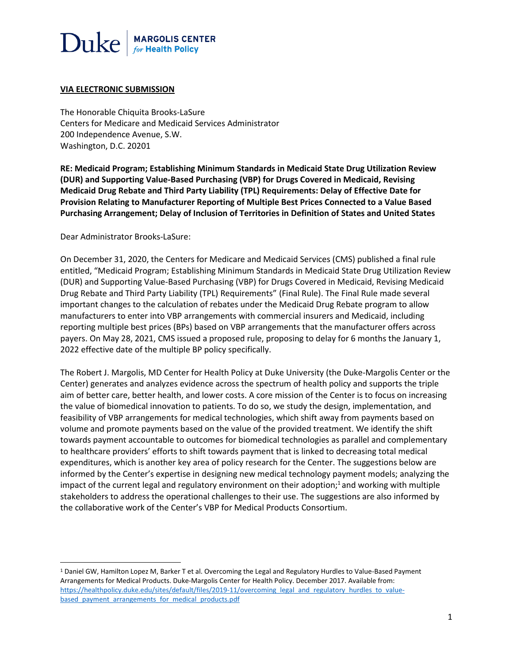# $\text{Duke}$  MARGOLIS CENTER

### **VIA ELECTRONIC SUBMISSION**

The Honorable Chiquita Brooks-LaSure Centers for Medicare and Medicaid Services Administrator 200 Independence Avenue, S.W. Washington, D.C. 20201

**RE: Medicaid Program; Establishing Minimum Standards in Medicaid State Drug Utilization Review (DUR) and Supporting Value-Based Purchasing (VBP) for Drugs Covered in Medicaid, Revising Medicaid Drug Rebate and Third Party Liability (TPL) Requirements: Delay of Effective Date for Provision Relating to Manufacturer Reporting of Multiple Best Prices Connected to a Value Based Purchasing Arrangement; Delay of Inclusion of Territories in Definition of States and United States**

Dear Administrator Brooks-LaSure:

 $\overline{\phantom{a}}$ 

On December 31, 2020, the Centers for Medicare and Medicaid Services (CMS) published a final rule entitled, "Medicaid Program; Establishing Minimum Standards in Medicaid State Drug Utilization Review (DUR) and Supporting Value-Based Purchasing (VBP) for Drugs Covered in Medicaid, Revising Medicaid Drug Rebate and Third Party Liability (TPL) Requirements" (Final Rule). The Final Rule made several important changes to the calculation of rebates under the Medicaid Drug Rebate program to allow manufacturers to enter into VBP arrangements with commercial insurers and Medicaid, including reporting multiple best prices (BPs) based on VBP arrangements that the manufacturer offers across payers. On May 28, 2021, CMS issued a proposed rule, proposing to delay for 6 months the January 1, 2022 effective date of the multiple BP policy specifically.

The Robert J. Margolis, MD Center for Health Policy at Duke University (the Duke-Margolis Center or the Center) generates and analyzes evidence across the spectrum of health policy and supports the triple aim of better care, better health, and lower costs. A core mission of the Center is to focus on increasing the value of biomedical innovation to patients. To do so, we study the design, implementation, and feasibility of VBP arrangements for medical technologies, which shift away from payments based on volume and promote payments based on the value of the provided treatment. We identify the shift towards payment accountable to outcomes for biomedical technologies as parallel and complementary to healthcare providers' efforts to shift towards payment that is linked to decreasing total medical expenditures, which is another key area of policy research for the Center. The suggestions below are informed by the Center's expertise in designing new medical technology payment models; analyzing the impact of the current legal and regulatory environment on their adoption;<sup>1</sup> and working with multiple stakeholders to address the operational challenges to their use. The suggestions are also informed by the collaborative work of the Center's VBP for Medical Products Consortium.

<sup>1</sup> Daniel GW, Hamilton Lopez M, Barker T et al. Overcoming the Legal and Regulatory Hurdles to Value-Based Payment Arrangements for Medical Products. Duke-Margolis Center for Health Policy. December 2017. Available from: [https://healthpolicy.duke.edu/sites/default/files/2019-11/overcoming\\_legal\\_and\\_regulatory\\_hurdles\\_to\\_value](https://healthpolicy.duke.edu/sites/default/files/2019-11/overcoming_legal_and_regulatory_hurdles_to_value-based_payment_arrangements_for_medical_products.pdf)[based\\_payment\\_arrangements\\_for\\_medical\\_products.pdf](https://healthpolicy.duke.edu/sites/default/files/2019-11/overcoming_legal_and_regulatory_hurdles_to_value-based_payment_arrangements_for_medical_products.pdf)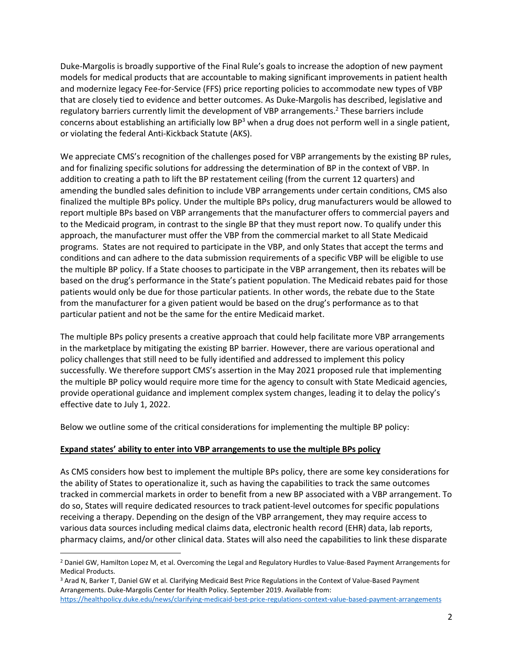Duke-Margolis is broadly supportive of the Final Rule's goals to increase the adoption of new payment models for medical products that are accountable to making significant improvements in patient health and modernize legacy Fee-for-Service (FFS) price reporting policies to accommodate new types of VBP that are closely tied to evidence and better outcomes. As Duke-Margolis has described, legislative and regulatory barriers currently limit the development of VBP arrangements.<sup>2</sup> These barriers include concerns about establishing an artificially low  $BP^3$  when a drug does not perform well in a single patient, or violating the federal Anti-Kickback Statute (AKS).

We appreciate CMS's recognition of the challenges posed for VBP arrangements by the existing BP rules, and for finalizing specific solutions for addressing the determination of BP in the context of VBP. In addition to creating a path to lift the BP restatement ceiling (from the current 12 quarters) and amending the bundled sales definition to include VBP arrangements under certain conditions, CMS also finalized the multiple BPs policy. Under the multiple BPs policy, drug manufacturers would be allowed to report multiple BPs based on VBP arrangements that the manufacturer offers to commercial payers and to the Medicaid program, in contrast to the single BP that they must report now. To qualify under this approach, the manufacturer must offer the VBP from the commercial market to all State Medicaid programs. States are not required to participate in the VBP, and only States that accept the terms and conditions and can adhere to the data submission requirements of a specific VBP will be eligible to use the multiple BP policy. If a State chooses to participate in the VBP arrangement, then its rebates will be based on the drug's performance in the State's patient population. The Medicaid rebates paid for those patients would only be due for those particular patients. In other words, the rebate due to the State from the manufacturer for a given patient would be based on the drug's performance as to that particular patient and not be the same for the entire Medicaid market.

The multiple BPs policy presents a creative approach that could help facilitate more VBP arrangements in the marketplace by mitigating the existing BP barrier. However, there are various operational and policy challenges that still need to be fully identified and addressed to implement this policy successfully. We therefore support CMS's assertion in the May 2021 proposed rule that implementing the multiple BP policy would require more time for the agency to consult with State Medicaid agencies, provide operational guidance and implement complex system changes, leading it to delay the policy's effective date to July 1, 2022.

Below we outline some of the critical considerations for implementing the multiple BP policy:

#### **Expand states' ability to enter into VBP arrangements to use the multiple BPs policy**

 $\overline{a}$ 

As CMS considers how best to implement the multiple BPs policy, there are some key considerations for the ability of States to operationalize it, such as having the capabilities to track the same outcomes tracked in commercial markets in order to benefit from a new BP associated with a VBP arrangement. To do so, States will require dedicated resources to track patient-level outcomes for specific populations receiving a therapy. Depending on the design of the VBP arrangement, they may require access to various data sources including medical claims data, electronic health record (EHR) data, lab reports, pharmacy claims, and/or other clinical data. States will also need the capabilities to link these disparate

<sup>2</sup> Daniel GW, Hamilton Lopez M, et al. Overcoming the Legal and Regulatory Hurdles to Value-Based Payment Arrangements for Medical Products.

<sup>3</sup> Arad N, Barker T, Daniel GW et al. Clarifying Medicaid Best Price Regulations in the Context of Value-Based Payment Arrangements. Duke-Margolis Center for Health Policy. September 2019. Available from:

<https://healthpolicy.duke.edu/news/clarifying-medicaid-best-price-regulations-context-value-based-payment-arrangements>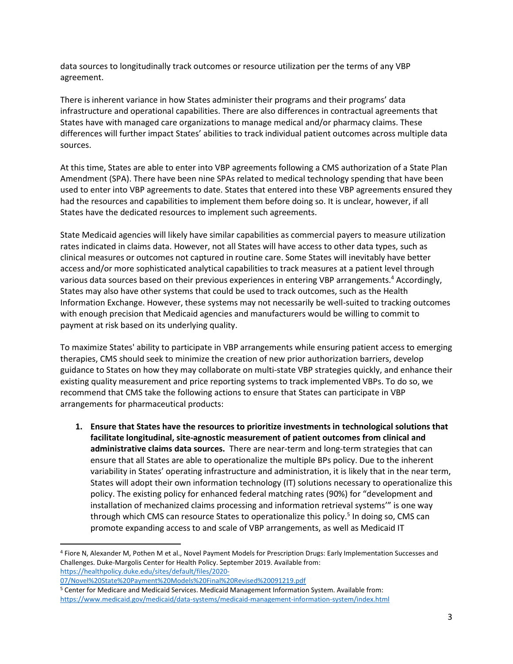data sources to longitudinally track outcomes or resource utilization per the terms of any VBP agreement.

There is inherent variance in how States administer their programs and their programs' data infrastructure and operational capabilities. There are also differences in contractual agreements that States have with managed care organizations to manage medical and/or pharmacy claims. These differences will further impact States' abilities to track individual patient outcomes across multiple data sources.

At this time, States are able to enter into VBP agreements following a CMS authorization of a State Plan Amendment (SPA). There have been nine SPAs related to medical technology spending that have been used to enter into VBP agreements to date. States that entered into these VBP agreements ensured they had the resources and capabilities to implement them before doing so. It is unclear, however, if all States have the dedicated resources to implement such agreements.

State Medicaid agencies will likely have similar capabilities as commercial payers to measure utilization rates indicated in claims data. However, not all States will have access to other data types, such as clinical measures or outcomes not captured in routine care. Some States will inevitably have better access and/or more sophisticated analytical capabilities to track measures at a patient level through various data sources based on their previous experiences in entering VBP arrangements.<sup>4</sup> Accordingly, States may also have other systems that could be used to track outcomes, such as the Health Information Exchange. However, these systems may not necessarily be well-suited to tracking outcomes with enough precision that Medicaid agencies and manufacturers would be willing to commit to payment at risk based on its underlying quality.

To maximize States' ability to participate in VBP arrangements while ensuring patient access to emerging therapies, CMS should seek to minimize the creation of new prior authorization barriers, develop guidance to States on how they may collaborate on multi-state VBP strategies quickly, and enhance their existing quality measurement and price reporting systems to track implemented VBPs. To do so, we recommend that CMS take the following actions to ensure that States can participate in VBP arrangements for pharmaceutical products:

**1. Ensure that States have the resources to prioritize investments in technological solutions that facilitate longitudinal, site-agnostic measurement of patient outcomes from clinical and administrative claims data sources.** There are near-term and long-term strategies that can ensure that all States are able to operationalize the multiple BPs policy. Due to the inherent variability in States' operating infrastructure and administration, it is likely that in the near term, States will adopt their own information technology (IT) solutions necessary to operationalize this policy. The existing policy for enhanced federal matching rates (90%) for "development and installation of mechanized claims processing and information retrieval systems'" is one way through which CMS can resource States to operationalize this policy.<sup>5</sup> In doing so, CMS can promote expanding access to and scale of VBP arrangements, as well as Medicaid IT

 $\overline{\phantom{a}}$ 

<sup>4</sup> Fiore N, Alexander M, Pothen M et al., Novel Payment Models for Prescription Drugs: Early Implementation Successes and Challenges. Duke-Margolis Center for Health Policy. September 2019. Available from: [https://healthpolicy.duke.edu/sites/default/files/2020-](https://healthpolicy.duke.edu/sites/default/files/2020-07/Novel%20State%20Payment%20Models%20Final%20Revised%20091219.pdf)

[<sup>07/</sup>Novel%20State%20Payment%20Models%20Final%20Revised%20091219.pdf](https://healthpolicy.duke.edu/sites/default/files/2020-07/Novel%20State%20Payment%20Models%20Final%20Revised%20091219.pdf)

<sup>5</sup> Center for Medicare and Medicaid Services. Medicaid Management Information System. Available from: <https://www.medicaid.gov/medicaid/data-systems/medicaid-management-information-system/index.html>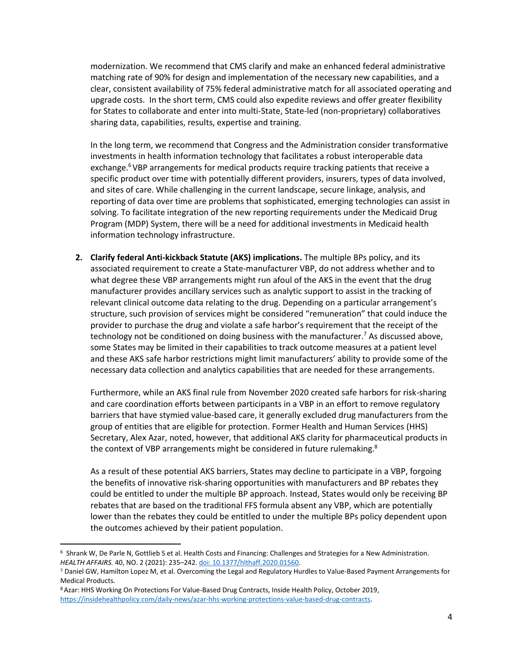modernization. We recommend that CMS clarify and make an enhanced federal administrative matching rate of 90% for design and implementation of the necessary new capabilities, and a clear, consistent availability of 75% federal administrative match for all associated operating and upgrade costs. In the short term, CMS could also expedite reviews and offer greater flexibility for States to collaborate and enter into multi-State, State-led (non-proprietary) collaboratives sharing data, capabilities, results, expertise and training.

In the long term, we recommend that Congress and the Administration consider transformative investments in health information technology that facilitates a robust interoperable data exchange.<sup>6</sup> VBP arrangements for medical products require tracking patients that receive a specific product over time with potentially different providers, insurers, types of data involved, and sites of care. While challenging in the current landscape, secure linkage, analysis, and reporting of data over time are problems that sophisticated, emerging technologies can assist in solving. To facilitate integration of the new reporting requirements under the Medicaid Drug Program (MDP) System, there will be a need for additional investments in Medicaid health information technology infrastructure.

**2. Clarify federal Anti-kickback Statute (AKS) implications.** The multiple BPs policy, and its associated requirement to create a State-manufacturer VBP, do not address whether and to what degree these VBP arrangements might run afoul of the AKS in the event that the drug manufacturer provides ancillary services such as analytic support to assist in the tracking of relevant clinical outcome data relating to the drug. Depending on a particular arrangement's structure, such provision of services might be considered "remuneration" that could induce the provider to purchase the drug and violate a safe harbor's requirement that the receipt of the technology not be conditioned on doing business with the manufacturer.<sup>7</sup> As discussed above, some States may be limited in their capabilities to track outcome measures at a patient level and these AKS safe harbor restrictions might limit manufacturers' ability to provide some of the necessary data collection and analytics capabilities that are needed for these arrangements.

Furthermore, while an AKS final rule from November 2020 created safe harbors for risk-sharing and care coordination efforts between participants in a VBP in an effort to remove regulatory barriers that have stymied value-based care, it generally excluded drug manufacturers from the group of entities that are eligible for protection. Former Health and Human Services (HHS) Secretary, Alex Azar, noted, however, that additional AKS clarity for pharmaceutical products in the context of VBP arrangements might be considered in future rulemaking.<sup>8</sup>

As a result of these potential AKS barriers, States may decline to participate in a VBP, forgoing the benefits of innovative risk-sharing opportunities with manufacturers and BP rebates they could be entitled to under the multiple BP approach. Instead, States would only be receiving BP rebates that are based on the traditional FFS formula absent any VBP, which are potentially lower than the rebates they could be entitled to under the multiple BPs policy dependent upon the outcomes achieved by their patient population.

 $\overline{\phantom{a}}$ 

<sup>6</sup> Shrank W, De Parle N, Gottlieb S et al. Health Costs and Financing: Challenges and Strategies for a New Administration. *HEALTH AFFAIRS.* 40, NO. 2 (2021): 235–242[. doi: 10.1377/hlthaff.2020.01560.](doi:%2010.1377/hlthaff.2020.01560)

<sup>7</sup> Daniel GW, Hamilton Lopez M, et al. Overcoming the Legal and Regulatory Hurdles to Value-Based Payment Arrangements for Medical Products.

<sup>8</sup>Azar: HHS Working On Protections For Value-Based Drug Contracts, Inside Health Policy, October 2019, [https://insidehealthpolicy.com/daily-news/azar-hhs-working-protections-value-based-drug-contracts.](https://insidehealthpolicy.com/daily-news/azar-hhs-working-protections-value-based-drug-contracts)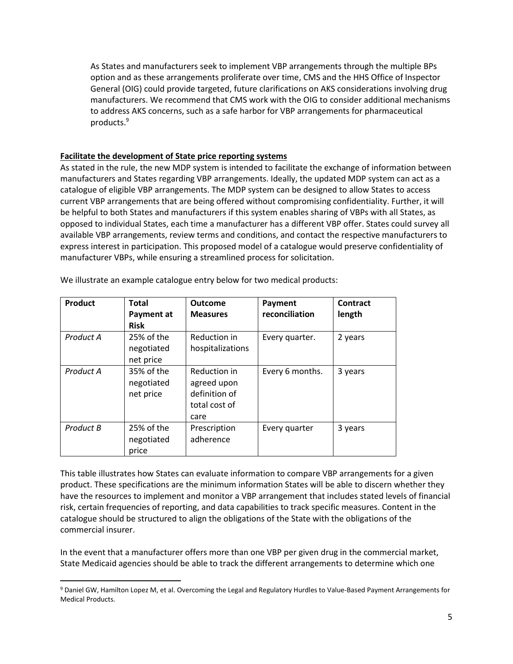As States and manufacturers seek to implement VBP arrangements through the multiple BPs option and as these arrangements proliferate over time, CMS and the HHS Office of Inspector General (OIG) could provide targeted, future clarifications on AKS considerations involving drug manufacturers. We recommend that CMS work with the OIG to consider additional mechanisms to address AKS concerns, such as a safe harbor for VBP arrangements for pharmaceutical products.<sup>9</sup>

#### **Facilitate the development of State price reporting systems**

As stated in the rule, the new MDP system is intended to facilitate the exchange of information between manufacturers and States regarding VBP arrangements. Ideally, the updated MDP system can act as a catalogue of eligible VBP arrangements. The MDP system can be designed to allow States to access current VBP arrangements that are being offered without compromising confidentiality. Further, it will be helpful to both States and manufacturers if this system enables sharing of VBPs with all States, as opposed to individual States, each time a manufacturer has a different VBP offer. States could survey all available VBP arrangements, review terms and conditions, and contact the respective manufacturers to express interest in participation. This proposed model of a catalogue would preserve confidentiality of manufacturer VBPs, while ensuring a streamlined process for solicitation.

| Product   | <b>Total</b><br>Payment at<br><b>Risk</b> | <b>Outcome</b><br><b>Measures</b>                                     | Payment<br>reconciliation | Contract<br>length |
|-----------|-------------------------------------------|-----------------------------------------------------------------------|---------------------------|--------------------|
| Product A | 25% of the<br>negotiated<br>net price     | Reduction in<br>hospitalizations                                      | Every quarter.            | 2 years            |
| Product A | 35% of the<br>negotiated<br>net price     | Reduction in<br>agreed upon<br>definition of<br>total cost of<br>care | Every 6 months.           | 3 years            |
| Product B | 25% of the<br>negotiated<br>price         | Prescription<br>adherence                                             | Every quarter             | 3 years            |

We illustrate an example catalogue entry below for two medical products:

This table illustrates how States can evaluate information to compare VBP arrangements for a given product. These specifications are the minimum information States will be able to discern whether they have the resources to implement and monitor a VBP arrangement that includes stated levels of financial risk, certain frequencies of reporting, and data capabilities to track specific measures. Content in the catalogue should be structured to align the obligations of the State with the obligations of the commercial insurer.

In the event that a manufacturer offers more than one VBP per given drug in the commercial market, State Medicaid agencies should be able to track the different arrangements to determine which one

 $\overline{a}$ 

<sup>9</sup> Daniel GW, Hamilton Lopez M, et al. Overcoming the Legal and Regulatory Hurdles to Value-Based Payment Arrangements for Medical Products.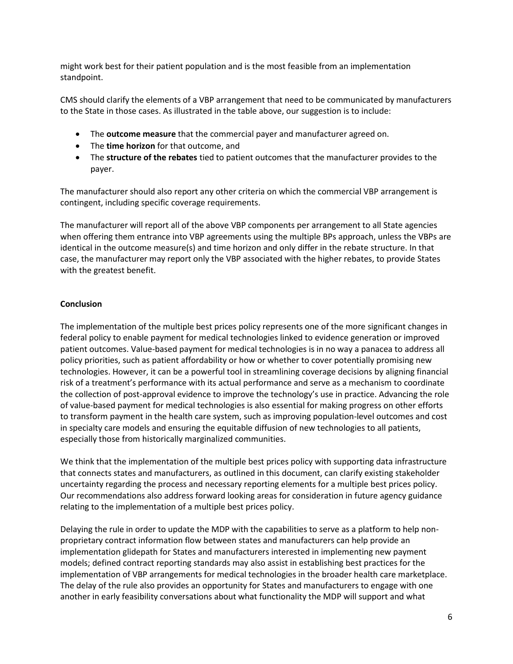might work best for their patient population and is the most feasible from an implementation standpoint.

CMS should clarify the elements of a VBP arrangement that need to be communicated by manufacturers to the State in those cases. As illustrated in the table above, our suggestion is to include:

- The **outcome measure** that the commercial payer and manufacturer agreed on.
- The **time horizon** for that outcome, and
- The **structure of the rebates** tied to patient outcomes that the manufacturer provides to the payer.

The manufacturer should also report any other criteria on which the commercial VBP arrangement is contingent, including specific coverage requirements.

The manufacturer will report all of the above VBP components per arrangement to all State agencies when offering them entrance into VBP agreements using the multiple BPs approach, unless the VBPs are identical in the outcome measure(s) and time horizon and only differ in the rebate structure. In that case, the manufacturer may report only the VBP associated with the higher rebates, to provide States with the greatest benefit.

## **Conclusion**

The implementation of the multiple best prices policy represents one of the more significant changes in federal policy to enable payment for medical technologies linked to evidence generation or improved patient outcomes. Value-based payment for medical technologies is in no way a panacea to address all policy priorities, such as patient affordability or how or whether to cover potentially promising new technologies. However, it can be a powerful tool in streamlining coverage decisions by aligning financial risk of a treatment's performance with its actual performance and serve as a mechanism to coordinate the collection of post-approval evidence to improve the technology's use in practice. Advancing the role of value-based payment for medical technologies is also essential for making progress on other efforts to transform payment in the health care system, such as improving population-level outcomes and cost in specialty care models and ensuring the equitable diffusion of new technologies to all patients, especially those from historically marginalized communities.

We think that the implementation of the multiple best prices policy with supporting data infrastructure that connects states and manufacturers, as outlined in this document, can clarify existing stakeholder uncertainty regarding the process and necessary reporting elements for a multiple best prices policy. Our recommendations also address forward looking areas for consideration in future agency guidance relating to the implementation of a multiple best prices policy.

Delaying the rule in order to update the MDP with the capabilities to serve as a platform to help nonproprietary contract information flow between states and manufacturers can help provide an implementation glidepath for States and manufacturers interested in implementing new payment models; defined contract reporting standards may also assist in establishing best practices for the implementation of VBP arrangements for medical technologies in the broader health care marketplace. The delay of the rule also provides an opportunity for States and manufacturers to engage with one another in early feasibility conversations about what functionality the MDP will support and what